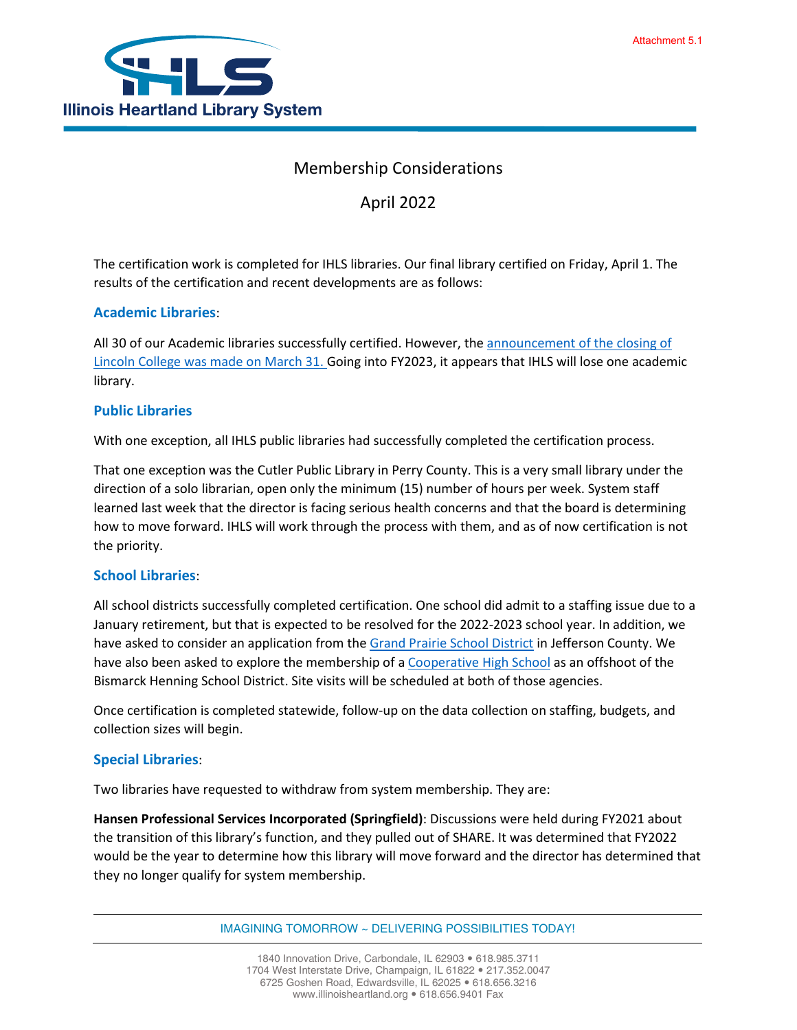# Membership Considerations

April 2022

The certification work is completed for IHLS libraries. Our final library certified on Friday, April 1. The results of the certification and recent developments are as follows:

## **Academic Libraries**:

All 30 of our Academic libraries successfully certified. However, the [announcement of the closing of](https://www.insidehighered.com/news/2022/04/01/lincoln-college-illinois-close)  [Lincoln College was made on March 31. G](https://www.insidehighered.com/news/2022/04/01/lincoln-college-illinois-close)oing into FY2023, it appears that IHLS will lose one academic library.

### **Public Libraries**

With one exception, all IHLS public libraries had successfully completed the certification process.

That one exception was the Cutler Public Library in Perry County. This is a very small library under the direction of a solo librarian, open only the minimum (15) number of hours per week. System staff learned last week that the director is facing serious health concerns and that the board is determining how to move forward. IHLS will work through the process with them, and as of now certification is not the priority.

### **School Libraries**:

All school districts successfully completed certification. One school did admit to a staffing issue due to a January retirement, but that is expected to be resolved for the 2022-2023 school year. In addition, we have asked to consider an application from the [Grand Prairie School District](https://www.gp6.org/) in Jefferson County. We have also been asked to explore the membership of [a Cooperative High School](https://www.bismarck.k12.il.us/o/bhra-high-school) as an offshoot of the Bismarck Henning School District. Site visits will be scheduled at both of those agencies.

Once certification is completed statewide, follow-up on the data collection on staffing, budgets, and collection sizes will begin.

### **Special Libraries**:

Two libraries have requested to withdraw from system membership. They are:

**Hansen Professional Services Incorporated (Springfield)**: Discussions were held during FY2021 about the transition of this library's function, and they pulled out of SHARE. It was determined that FY2022 would be the year to determine how this library will move forward and the director has determined that they no longer qualify for system membership.